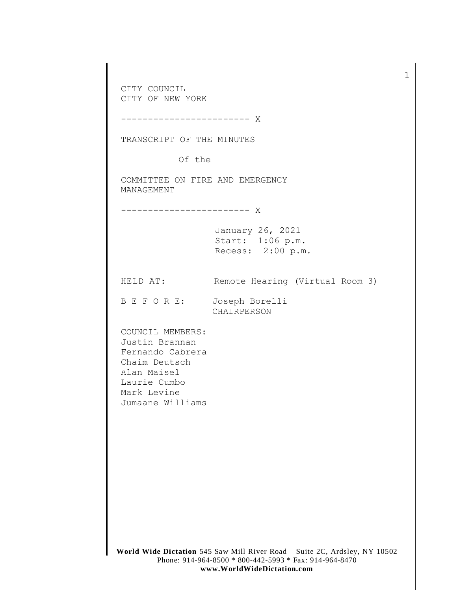**World Wide Dictation** 545 Saw Mill River Road – Suite 2C, Ardsley, NY 10502 CITY COUNCIL CITY OF NEW YORK ------------------------ X TRANSCRIPT OF THE MINUTES Of the COMMITTEE ON FIRE AND EMERGENCY MANAGEMENT ------------------------ X January 26, 2021 Start: 1:06 p.m. Recess: 2:00 p.m. HELD AT: Remote Hearing (Virtual Room 3) B E F O R E: Joseph Borelli CHAIRPERSON COUNCIL MEMBERS: Justin Brannan Fernando Cabrera Chaim Deutsch Alan Maisel Laurie Cumbo Mark Levine Jumaane Williams

1

Phone: 914-964-8500 \* 800-442-5993 \* Fax: 914-964-8470 **www.WorldWideDictation.com**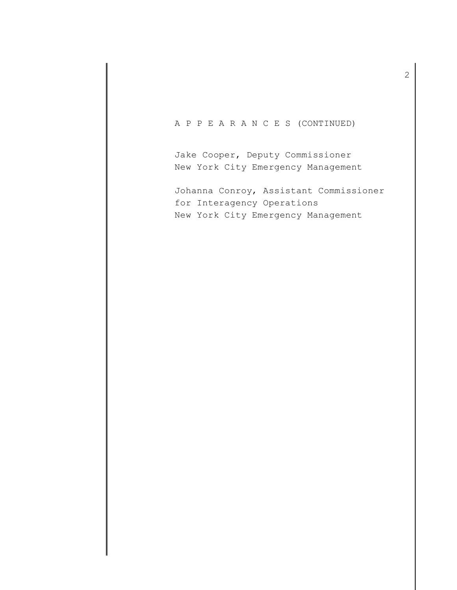## A P P E A R A N C E S (CONTINUED)

Jake Cooper, Deputy Commissioner New York City Emergency Management

Johanna Conroy, Assistant Commissioner for Interagency Operations New York City Emergency Management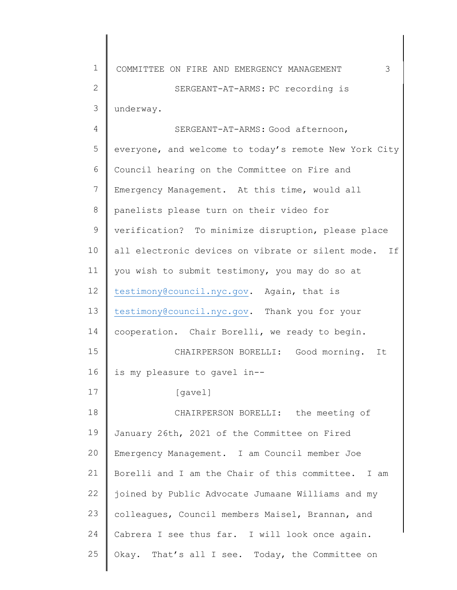| $\mathbf 1$    | 3<br>COMMITTEE ON FIRE AND EMERGENCY MANAGEMENT          |
|----------------|----------------------------------------------------------|
| $\overline{2}$ | SERGEANT-AT-ARMS: PC recording is                        |
| 3              | underway.                                                |
| 4              | SERGEANT-AT-ARMS: Good afternoon,                        |
| 5              | everyone, and welcome to today's remote New York City    |
| 6              | Council hearing on the Committee on Fire and             |
| 7              | Emergency Management. At this time, would all            |
| 8              | panelists please turn on their video for                 |
| 9              | verification? To minimize disruption, please place       |
| 10             | all electronic devices on vibrate or silent mode.<br>T f |
| 11             | you wish to submit testimony, you may do so at           |
| 12             | testimony@council.nyc.gov. Again, that is                |
| 13             | testimony@council.nyc.gov. Thank you for your            |
| 14             | cooperation. Chair Borelli, we ready to begin.           |
| 15             | CHAIRPERSON BORELLI: Good morning.<br>It                 |
| 16             | is my pleasure to gavel in--                             |
| 17             | [gavel]                                                  |
| 18             | CHAIRPERSON BORELLI: the meeting of                      |
| 19             | January 26th, 2021 of the Committee on Fired             |
| 20             | Emergency Management. I am Council member Joe            |
| 21             | Borelli and I am the Chair of this committee. I am       |
| 22             | joined by Public Advocate Jumaane Williams and my        |
| 23             | colleagues, Council members Maisel, Brannan, and         |
| 24             | Cabrera I see thus far. I will look once again.          |
| 25             | Okay. That's all I see. Today, the Committee on          |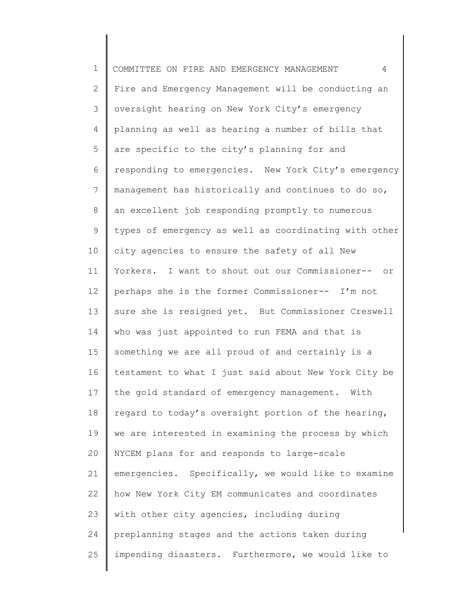1 2 3 4 5 6 7 8 9 10 11 12 13 14 15 16 17 18 19 20 21 22 23 24 25 COMMITTEE ON FIRE AND EMERGENCY MANAGEMENT 4 Fire and Emergency Management will be conducting an oversight hearing on New York City's emergency planning as well as hearing a number of bills that are specific to the city's planning for and responding to emergencies. New York City's emergency management has historically and continues to do so, an excellent job responding promptly to numerous types of emergency as well as coordinating with other city agencies to ensure the safety of all New Yorkers. I want to shout out our Commissioner-- or perhaps she is the former Commissioner-- I'm not sure she is resigned yet. But Commissioner Creswell who was just appointed to run FEMA and that is something we are all proud of and certainly is a testament to what I just said about New York City be the gold standard of emergency management. With regard to today's oversight portion of the hearing, we are interested in examining the process by which NYCEM plans for and responds to large-scale emergencies. Specifically, we would like to examine how New York City EM communicates and coordinates with other city agencies, including during preplanning stages and the actions taken during impending disasters. Furthermore, we would like to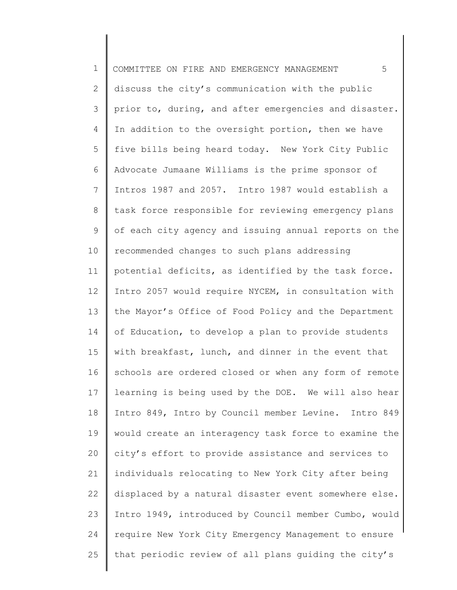1 2 3 4 5 6 7 8 9 10 11 12 13 14 15 16 17 18 19 20 21 22 23 24 25 COMMITTEE ON FIRE AND EMERGENCY MANAGEMENT 5 discuss the city's communication with the public prior to, during, and after emergencies and disaster. In addition to the oversight portion, then we have five bills being heard today. New York City Public Advocate Jumaane Williams is the prime sponsor of Intros 1987 and 2057. Intro 1987 would establish a task force responsible for reviewing emergency plans of each city agency and issuing annual reports on the recommended changes to such plans addressing potential deficits, as identified by the task force. Intro 2057 would require NYCEM, in consultation with the Mayor's Office of Food Policy and the Department of Education, to develop a plan to provide students with breakfast, lunch, and dinner in the event that schools are ordered closed or when any form of remote learning is being used by the DOE. We will also hear Intro 849, Intro by Council member Levine. Intro 849 would create an interagency task force to examine the city's effort to provide assistance and services to individuals relocating to New York City after being displaced by a natural disaster event somewhere else. Intro 1949, introduced by Council member Cumbo, would require New York City Emergency Management to ensure that periodic review of all plans guiding the city's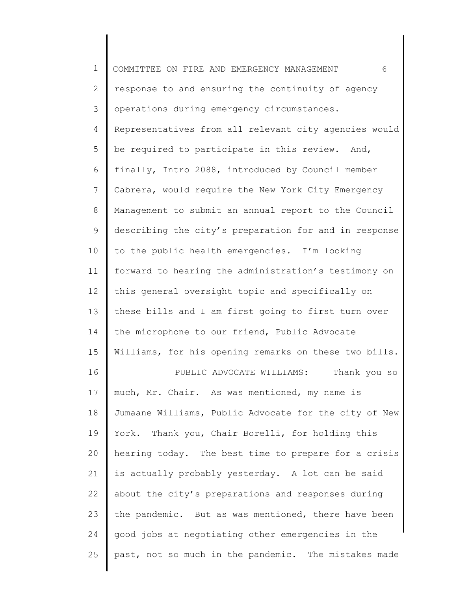| $\mathbf 1$  | COMMITTEE ON FIRE AND EMERGENCY MANAGEMENT<br>6       |
|--------------|-------------------------------------------------------|
| $\mathbf{2}$ | response to and ensuring the continuity of agency     |
| 3            | operations during emergency circumstances.            |
| 4            | Representatives from all relevant city agencies would |
| 5            | be required to participate in this review. And,       |
| 6            | finally, Intro 2088, introduced by Council member     |
| 7            | Cabrera, would require the New York City Emergency    |
| $8\,$        | Management to submit an annual report to the Council  |
| 9            | describing the city's preparation for and in response |
| 10           | to the public health emergencies. I'm looking         |
| 11           | forward to hearing the administration's testimony on  |
| 12           | this general oversight topic and specifically on      |
| 13           | these bills and I am first going to first turn over   |
| 14           | the microphone to our friend, Public Advocate         |
| 15           | Williams, for his opening remarks on these two bills. |
| 16           | Thank you so<br>PUBLIC ADVOCATE WILLIAMS:             |
| 17           | much, Mr. Chair. As was mentioned, my name is         |
| 18           | Jumaane Williams, Public Advocate for the city of New |
| 19           | York. Thank you, Chair Borelli, for holding this      |
| 20           | hearing today. The best time to prepare for a crisis  |
| 21           | is actually probably yesterday. A lot can be said     |
| 22           | about the city's preparations and responses during    |
| 23           | the pandemic. But as was mentioned, there have been   |
| 24           | good jobs at negotiating other emergencies in the     |
| 25           | past, not so much in the pandemic. The mistakes made  |
|              |                                                       |

║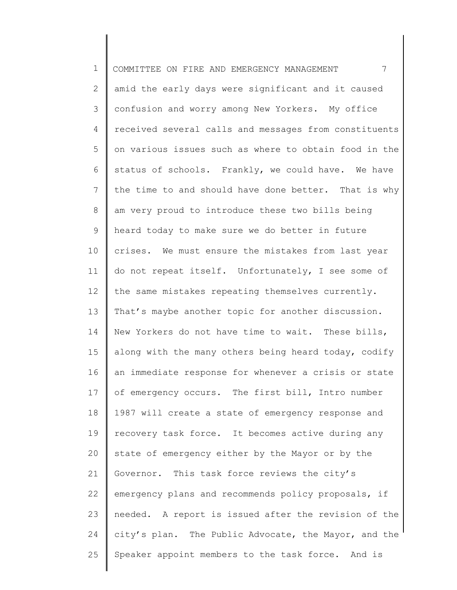1 2 3 4 5 6 7 8 9 10 11 12 13 14 15 16 17 18 19 20 21 22 23 24 25 COMMITTEE ON FIRE AND EMERGENCY MANAGEMENT 7 amid the early days were significant and it caused confusion and worry among New Yorkers. My office received several calls and messages from constituents on various issues such as where to obtain food in the status of schools. Frankly, we could have. We have the time to and should have done better. That is why am very proud to introduce these two bills being heard today to make sure we do better in future crises. We must ensure the mistakes from last year do not repeat itself. Unfortunately, I see some of the same mistakes repeating themselves currently. That's maybe another topic for another discussion. New Yorkers do not have time to wait. These bills, along with the many others being heard today, codify an immediate response for whenever a crisis or state of emergency occurs. The first bill, Intro number 1987 will create a state of emergency response and recovery task force. It becomes active during any state of emergency either by the Mayor or by the Governor. This task force reviews the city's emergency plans and recommends policy proposals, if needed. A report is issued after the revision of the city's plan. The Public Advocate, the Mayor, and the Speaker appoint members to the task force. And is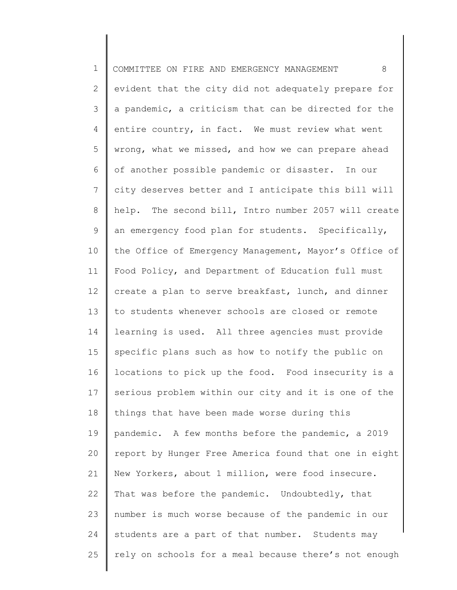1 2 3 4 5 6 7 8 9 10 11 12 13 14 15 16 17 18 19 20 21 22 23 24 25 COMMITTEE ON FIRE AND EMERGENCY MANAGEMENT 8 evident that the city did not adequately prepare for a pandemic, a criticism that can be directed for the entire country, in fact. We must review what went wrong, what we missed, and how we can prepare ahead of another possible pandemic or disaster. In our city deserves better and I anticipate this bill will help. The second bill, Intro number 2057 will create an emergency food plan for students. Specifically, the Office of Emergency Management, Mayor's Office of Food Policy, and Department of Education full must create a plan to serve breakfast, lunch, and dinner to students whenever schools are closed or remote learning is used. All three agencies must provide specific plans such as how to notify the public on locations to pick up the food. Food insecurity is a serious problem within our city and it is one of the things that have been made worse during this pandemic. A few months before the pandemic, a 2019 report by Hunger Free America found that one in eight New Yorkers, about 1 million, were food insecure. That was before the pandemic. Undoubtedly, that number is much worse because of the pandemic in our students are a part of that number. Students may rely on schools for a meal because there's not enough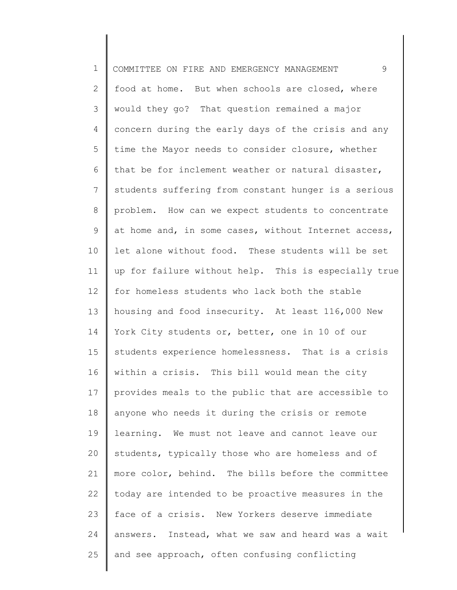1 2 3 4 5 6 7 8 9 10 11 12 13 14 15 16 17 18 19 20 21 22 23 24 25 COMMITTEE ON FIRE AND EMERGENCY MANAGEMENT 9 food at home. But when schools are closed, where would they go? That question remained a major concern during the early days of the crisis and any time the Mayor needs to consider closure, whether that be for inclement weather or natural disaster, students suffering from constant hunger is a serious problem. How can we expect students to concentrate at home and, in some cases, without Internet access, let alone without food. These students will be set up for failure without help. This is especially true for homeless students who lack both the stable housing and food insecurity. At least 116,000 New York City students or, better, one in 10 of our students experience homelessness. That is a crisis within a crisis. This bill would mean the city provides meals to the public that are accessible to anyone who needs it during the crisis or remote learning. We must not leave and cannot leave our students, typically those who are homeless and of more color, behind. The bills before the committee today are intended to be proactive measures in the face of a crisis. New Yorkers deserve immediate answers. Instead, what we saw and heard was a wait and see approach, often confusing conflicting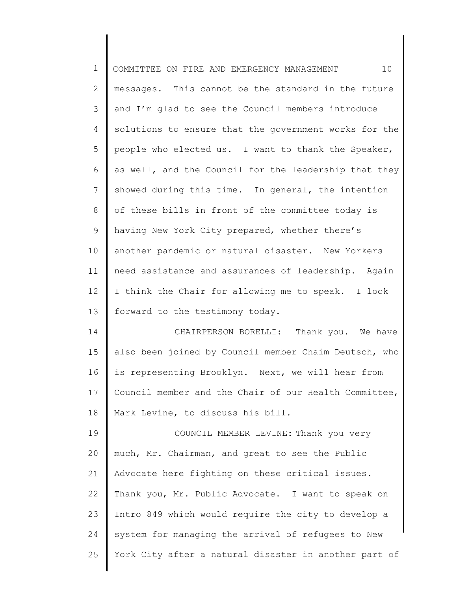| $\mathbf 1$   | 10<br>COMMITTEE ON FIRE AND EMERGENCY MANAGEMENT      |
|---------------|-------------------------------------------------------|
| $\mathbf{2}$  | messages. This cannot be the standard in the future   |
| $\mathcal{S}$ | and I'm glad to see the Council members introduce     |
| 4             | solutions to ensure that the government works for the |
| 5             | people who elected us. I want to thank the Speaker,   |
| 6             | as well, and the Council for the leadership that they |
| 7             | showed during this time. In general, the intention    |
| 8             | of these bills in front of the committee today is     |
| 9             | having New York City prepared, whether there's        |
| 10            | another pandemic or natural disaster. New Yorkers     |
| 11            | need assistance and assurances of leadership. Again   |
| 12            | I think the Chair for allowing me to speak. I look    |
| 13            | forward to the testimony today.                       |
| 14            | CHAIRPERSON BORELLI: Thank you. We have               |
| 15            | also been joined by Council member Chaim Deutsch, who |
| 16            | is representing Brooklyn. Next, we will hear from     |
| 17            | Council member and the Chair of our Health Committee, |
| 18            | Mark Levine, to discuss his bill.                     |
| 19            | COUNCIL MEMBER LEVINE: Thank you very                 |
| 20            | much, Mr. Chairman, and great to see the Public       |
| 21            | Advocate here fighting on these critical issues.      |
| 22            | Thank you, Mr. Public Advocate. I want to speak on    |
| 23            | Intro 849 which would require the city to develop a   |
| 24            | system for managing the arrival of refugees to New    |
| 25            | York City after a natural disaster in another part of |
|               |                                                       |

∥ ∥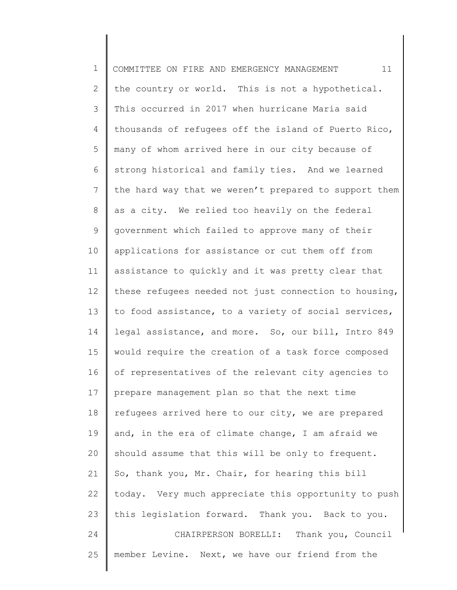1 2 3 4 5 6 7 8 9 10 11 12 13 14 15 16 17 18 19 20 21 22 23 24 25 COMMITTEE ON FIRE AND EMERGENCY MANAGEMENT 11 the country or world. This is not a hypothetical. This occurred in 2017 when hurricane Maria said thousands of refugees off the island of Puerto Rico, many of whom arrived here in our city because of strong historical and family ties. And we learned the hard way that we weren't prepared to support them as a city. We relied too heavily on the federal government which failed to approve many of their applications for assistance or cut them off from assistance to quickly and it was pretty clear that these refugees needed not just connection to housing, to food assistance, to a variety of social services, legal assistance, and more. So, our bill, Intro 849 would require the creation of a task force composed of representatives of the relevant city agencies to prepare management plan so that the next time refugees arrived here to our city, we are prepared and, in the era of climate change, I am afraid we should assume that this will be only to frequent. So, thank you, Mr. Chair, for hearing this bill today. Very much appreciate this opportunity to push this legislation forward. Thank you. Back to you. CHAIRPERSON BORELLI: Thank you, Council member Levine. Next, we have our friend from the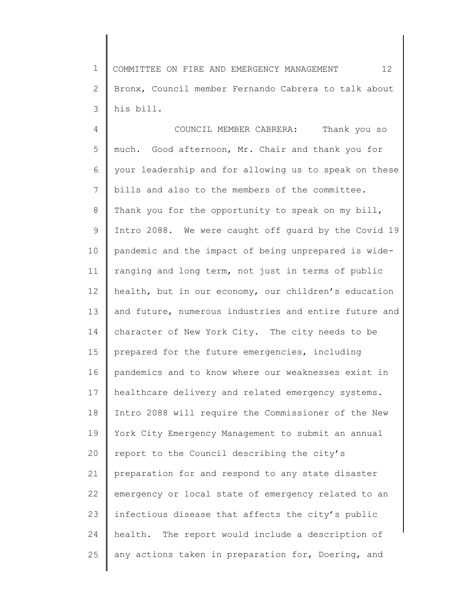1 2 3 COMMITTEE ON FIRE AND EMERGENCY MANAGEMENT 12 Bronx, Council member Fernando Cabrera to talk about his bill.

4 5 6 7 8 9 10 11 12 13 14 15 16 17 18 19 20 21 22 23 24 25 COUNCIL MEMBER CABRERA: Thank you so much. Good afternoon, Mr. Chair and thank you for your leadership and for allowing us to speak on these bills and also to the members of the committee. Thank you for the opportunity to speak on my bill, Intro 2088. We were caught off guard by the Covid 19 pandemic and the impact of being unprepared is wideranging and long term, not just in terms of public health, but in our economy, our children's education and future, numerous industries and entire future and character of New York City. The city needs to be prepared for the future emergencies, including pandemics and to know where our weaknesses exist in healthcare delivery and related emergency systems. Intro 2088 will require the Commissioner of the New York City Emergency Management to submit an annual report to the Council describing the city's preparation for and respond to any state disaster emergency or local state of emergency related to an infectious disease that affects the city's public health. The report would include a description of any actions taken in preparation for, Doering, and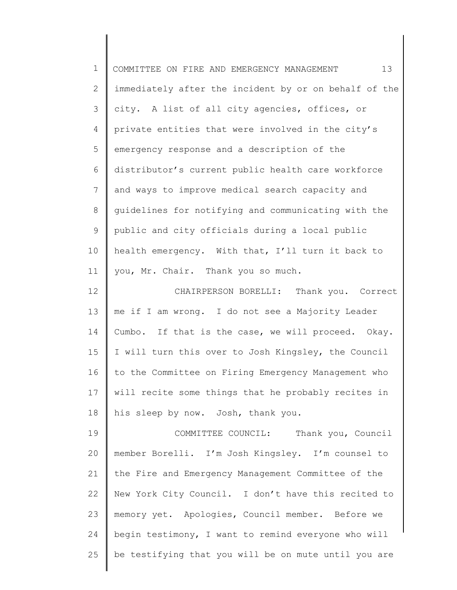| $\mathbf 1$    | 13<br>COMMITTEE ON FIRE AND EMERGENCY MANAGEMENT      |
|----------------|-------------------------------------------------------|
| $\mathbf{2}$   | immediately after the incident by or on behalf of the |
| 3              | city. A list of all city agencies, offices, or        |
| 4              | private entities that were involved in the city's     |
| 5              | emergency response and a description of the           |
| 6              | distributor's current public health care workforce    |
| $\overline{7}$ | and ways to improve medical search capacity and       |
| 8              | quidelines for notifying and communicating with the   |
| $\mathsf 9$    | public and city officials during a local public       |
| 10             | health emergency. With that, I'll turn it back to     |
| 11             | you, Mr. Chair. Thank you so much.                    |
| 12             | CHAIRPERSON BORELLI: Thank you. Correct               |
| 13             | me if I am wrong. I do not see a Majority Leader      |
| 14             | Cumbo. If that is the case, we will proceed. Okay.    |
| 15             | I will turn this over to Josh Kingsley, the Council   |
| 16             | to the Committee on Firing Emergency Management who   |
| 17             | will recite some things that he probably recites in   |
| 18             | his sleep by now. Josh, thank you.                    |
| 19             | COMMITTEE COUNCIL: Thank you, Council                 |
| 20             | member Borelli. I'm Josh Kingsley. I'm counsel to     |
| 21             | the Fire and Emergency Management Committee of the    |
| 22             | New York City Council. I don't have this recited to   |
| 23             | memory yet. Apologies, Council member. Before we      |
| 24             | begin testimony, I want to remind everyone who will   |
| 25             | be testifying that you will be on mute until you are  |
|                |                                                       |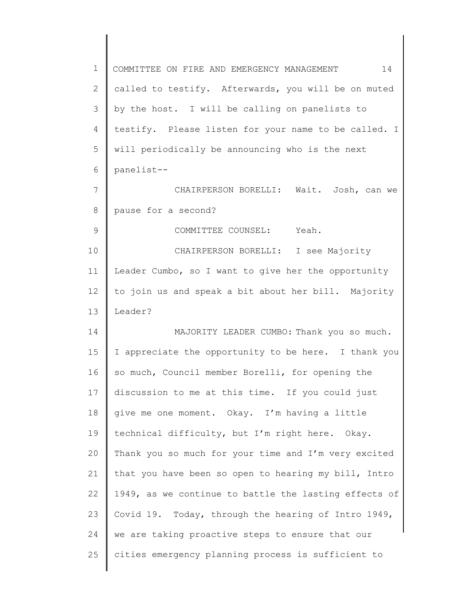| $\mathbf 1$     | 14<br>COMMITTEE ON FIRE AND EMERGENCY MANAGEMENT      |
|-----------------|-------------------------------------------------------|
| $\overline{2}$  | called to testify. Afterwards, you will be on muted   |
| 3               | by the host. I will be calling on panelists to        |
| 4               | testify. Please listen for your name to be called. I  |
| 5               | will periodically be announcing who is the next       |
| 6               | panelist--                                            |
| $\overline{7}$  | CHAIRPERSON BORELLI: Wait. Josh, can we               |
| 8               | pause for a second?                                   |
| 9               | COMMITTEE COUNSEL: Yeah.                              |
| 10              | CHAIRPERSON BORELLI: I see Majority                   |
| 11              | Leader Cumbo, so I want to give her the opportunity   |
| 12 <sup>2</sup> | to join us and speak a bit about her bill. Majority   |
| 13              | Leader?                                               |
| 14              | MAJORITY LEADER CUMBO: Thank you so much.             |
| 15              | I appreciate the opportunity to be here. I thank you  |
| 16              | so much, Council member Borelli, for opening the      |
| 17              | discussion to me at this time. If you could just      |
| 18              | give me one moment. Okay. I'm having a little         |
| 19              | technical difficulty, but I'm right here. Okay.       |
| 20              | Thank you so much for your time and I'm very excited  |
| 21              | that you have been so open to hearing my bill, Intro  |
| 22              | 1949, as we continue to battle the lasting effects of |
| 23              | Covid 19. Today, through the hearing of Intro 1949,   |
| 24              | we are taking proactive steps to ensure that our      |
| 25              | cities emergency planning process is sufficient to    |
|                 |                                                       |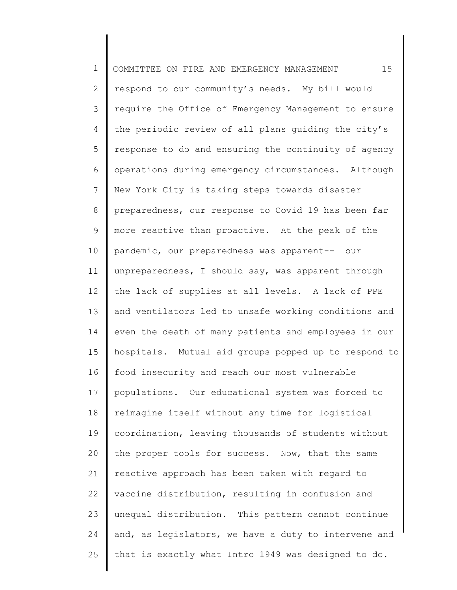1 2 3 4 5 6 7 8 9 10 11 12 13 14 15 16 17 18 19 20 21 22 23 24 25 COMMITTEE ON FIRE AND EMERGENCY MANAGEMENT 15 respond to our community's needs. My bill would require the Office of Emergency Management to ensure the periodic review of all plans guiding the city's response to do and ensuring the continuity of agency operations during emergency circumstances. Although New York City is taking steps towards disaster preparedness, our response to Covid 19 has been far more reactive than proactive. At the peak of the pandemic, our preparedness was apparent-- our unpreparedness, I should say, was apparent through the lack of supplies at all levels. A lack of PPE and ventilators led to unsafe working conditions and even the death of many patients and employees in our hospitals. Mutual aid groups popped up to respond to food insecurity and reach our most vulnerable populations. Our educational system was forced to reimagine itself without any time for logistical coordination, leaving thousands of students without the proper tools for success. Now, that the same reactive approach has been taken with regard to vaccine distribution, resulting in confusion and unequal distribution. This pattern cannot continue and, as legislators, we have a duty to intervene and that is exactly what Intro 1949 was designed to do.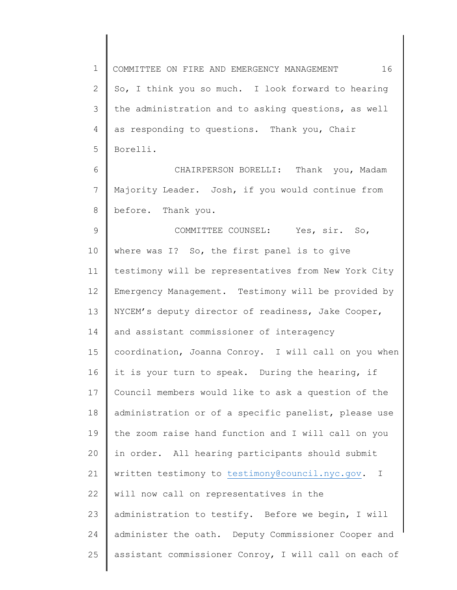1 2 3 4 5 6 7 8 9 10 11 12 13 14 15 16 17 18 19 20 21 22 23 COMMITTEE ON FIRE AND EMERGENCY MANAGEMENT 16 So, I think you so much. I look forward to hearing the administration and to asking questions, as well as responding to questions. Thank you, Chair Borelli. CHAIRPERSON BORELLI: Thank you, Madam Majority Leader. Josh, if you would continue from before. Thank you. COMMITTEE COUNSEL: Yes, sir. So, where was I? So, the first panel is to give testimony will be representatives from New York City Emergency Management. Testimony will be provided by NYCEM's deputy director of readiness, Jake Cooper, and assistant commissioner of interagency coordination, Joanna Conroy. I will call on you when it is your turn to speak. During the hearing, if Council members would like to ask a question of the administration or of a specific panelist, please use the zoom raise hand function and I will call on you in order. All hearing participants should submit written testimony to [testimony@council.nyc.gov.](mailto:testimony@council.nyc.gov) I will now call on representatives in the administration to testify. Before we begin, I will

administer the oath. Deputy Commissioner Cooper and

assistant commissioner Conroy, I will call on each of

24

25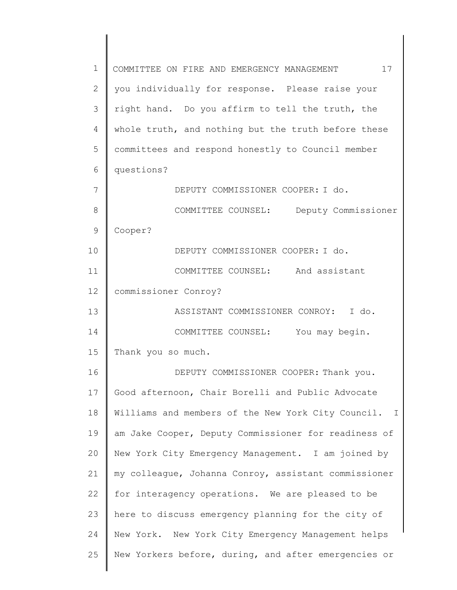1 2 3 4 5 6 7 8 9 10 11 12 13 14 15 16 17 18 19 20 21 22 23 24 25 COMMITTEE ON FIRE AND EMERGENCY MANAGEMENT 17 you individually for response. Please raise your right hand. Do you affirm to tell the truth, the whole truth, and nothing but the truth before these committees and respond honestly to Council member questions? DEPUTY COMMISSIONER COOPER: I do. COMMITTEE COUNSEL: Deputy Commissioner Cooper? DEPUTY COMMISSIONER COOPER: I do. COMMITTEE COUNSEL: And assistant commissioner Conroy? ASSISTANT COMMISSIONER CONROY: I do. COMMITTEE COUNSEL: You may begin. Thank you so much. DEPUTY COMMISSIONER COOPER: Thank you. Good afternoon, Chair Borelli and Public Advocate Williams and members of the New York City Council. I am Jake Cooper, Deputy Commissioner for readiness of New York City Emergency Management. I am joined by my colleague, Johanna Conroy, assistant commissioner for interagency operations. We are pleased to be here to discuss emergency planning for the city of New York. New York City Emergency Management helps New Yorkers before, during, and after emergencies or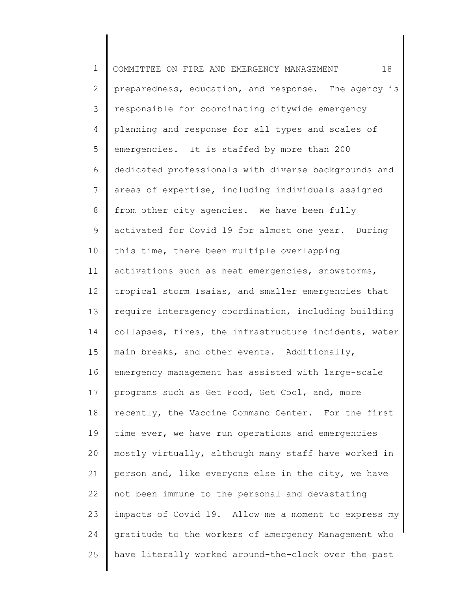1 2 3 4 5 6 7 8 9 10 11 12 13 14 15 16 17 18 19 20 21 22 23 24 25 COMMITTEE ON FIRE AND EMERGENCY MANAGEMENT 18 preparedness, education, and response. The agency is responsible for coordinating citywide emergency planning and response for all types and scales of emergencies. It is staffed by more than 200 dedicated professionals with diverse backgrounds and areas of expertise, including individuals assigned from other city agencies. We have been fully activated for Covid 19 for almost one year. During this time, there been multiple overlapping activations such as heat emergencies, snowstorms, tropical storm Isaias, and smaller emergencies that require interagency coordination, including building collapses, fires, the infrastructure incidents, water main breaks, and other events. Additionally, emergency management has assisted with large-scale programs such as Get Food, Get Cool, and, more recently, the Vaccine Command Center. For the first time ever, we have run operations and emergencies mostly virtually, although many staff have worked in person and, like everyone else in the city, we have not been immune to the personal and devastating impacts of Covid 19. Allow me a moment to express my gratitude to the workers of Emergency Management who have literally worked around-the-clock over the past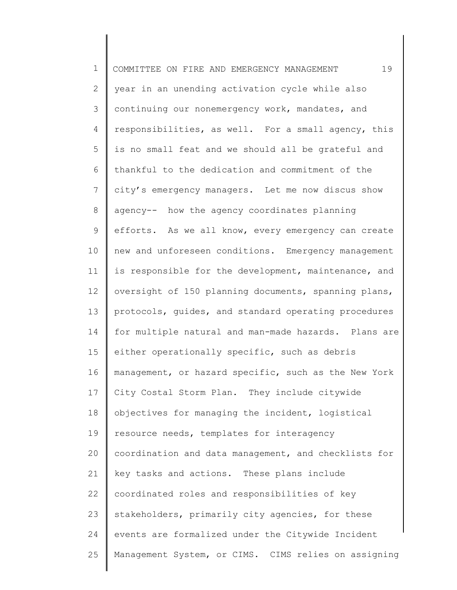1 2 3 4 5 6 7 8 9 10 11 12 13 14 15 16 17 18 19 20 21 22 23 24 25 COMMITTEE ON FIRE AND EMERGENCY MANAGEMENT 19 year in an unending activation cycle while also continuing our nonemergency work, mandates, and responsibilities, as well. For a small agency, this is no small feat and we should all be grateful and thankful to the dedication and commitment of the city's emergency managers. Let me now discus show agency-- how the agency coordinates planning efforts. As we all know, every emergency can create new and unforeseen conditions. Emergency management is responsible for the development, maintenance, and oversight of 150 planning documents, spanning plans, protocols, guides, and standard operating procedures for multiple natural and man-made hazards. Plans are either operationally specific, such as debris management, or hazard specific, such as the New York City Costal Storm Plan. They include citywide objectives for managing the incident, logistical resource needs, templates for interagency coordination and data management, and checklists for key tasks and actions. These plans include coordinated roles and responsibilities of key stakeholders, primarily city agencies, for these events are formalized under the Citywide Incident Management System, or CIMS. CIMS relies on assigning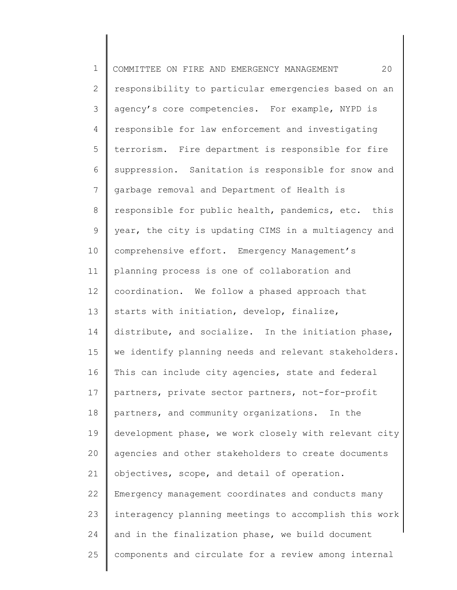1 2 3 4 5 6 7 8 9 10 11 12 13 14 15 16 17 18 19 20 21 22 23 24 25 COMMITTEE ON FIRE AND EMERGENCY MANAGEMENT 20 responsibility to particular emergencies based on an agency's core competencies. For example, NYPD is responsible for law enforcement and investigating terrorism. Fire department is responsible for fire suppression. Sanitation is responsible for snow and garbage removal and Department of Health is responsible for public health, pandemics, etc. this year, the city is updating CIMS in a multiagency and comprehensive effort. Emergency Management's planning process is one of collaboration and coordination. We follow a phased approach that starts with initiation, develop, finalize, distribute, and socialize. In the initiation phase, we identify planning needs and relevant stakeholders. This can include city agencies, state and federal partners, private sector partners, not-for-profit partners, and community organizations. In the development phase, we work closely with relevant city agencies and other stakeholders to create documents objectives, scope, and detail of operation. Emergency management coordinates and conducts many interagency planning meetings to accomplish this work and in the finalization phase, we build document components and circulate for a review among internal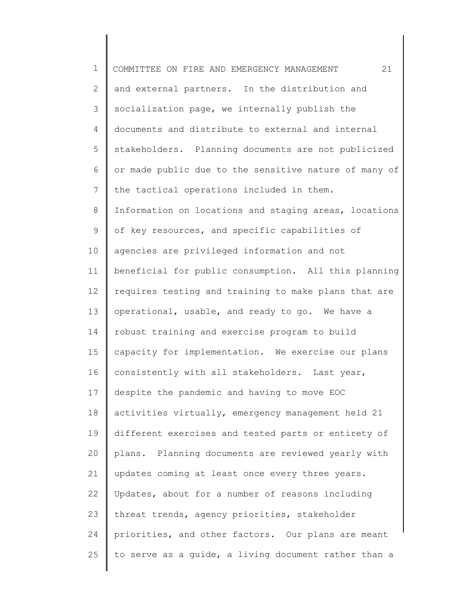1 2 3 4 5 6 7 8 9 10 11 12 13 14 15 16 17 18 19 20 21 22 23 24 25 COMMITTEE ON FIRE AND EMERGENCY MANAGEMENT 21 and external partners. In the distribution and socialization page, we internally publish the documents and distribute to external and internal stakeholders. Planning documents are not publicized or made public due to the sensitive nature of many of the tactical operations included in them. Information on locations and staging areas, locations of key resources, and specific capabilities of agencies are privileged information and not beneficial for public consumption. All this planning requires testing and training to make plans that are operational, usable, and ready to go. We have a robust training and exercise program to build capacity for implementation. We exercise our plans consistently with all stakeholders. Last year, despite the pandemic and having to move EOC activities virtually, emergency management held 21 different exercises and tested parts or entirety of plans. Planning documents are reviewed yearly with updates coming at least once every three years. Updates, about for a number of reasons including threat trends, agency priorities, stakeholder priorities, and other factors. Our plans are meant to serve as a guide, a living document rather than a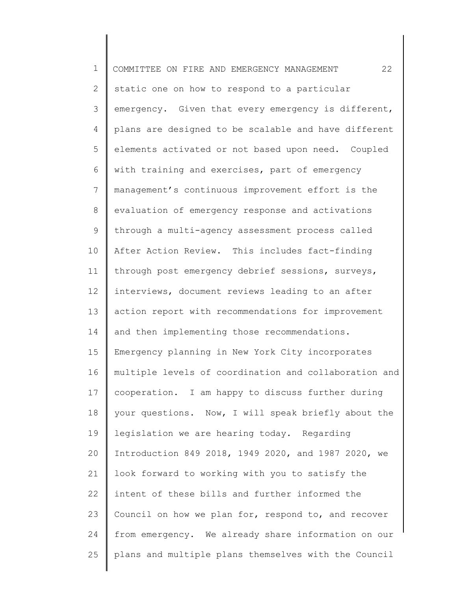1 2 3 4 5 6 7 8 9 10 11 12 13 14 15 16 17 18 19 20 21 22 23 24 25 COMMITTEE ON FIRE AND EMERGENCY MANAGEMENT 22 static one on how to respond to a particular emergency. Given that every emergency is different, plans are designed to be scalable and have different elements activated or not based upon need. Coupled with training and exercises, part of emergency management's continuous improvement effort is the evaluation of emergency response and activations through a multi-agency assessment process called After Action Review. This includes fact-finding through post emergency debrief sessions, surveys, interviews, document reviews leading to an after action report with recommendations for improvement and then implementing those recommendations. Emergency planning in New York City incorporates multiple levels of coordination and collaboration and cooperation. I am happy to discuss further during your questions. Now, I will speak briefly about the legislation we are hearing today. Regarding Introduction 849 2018, 1949 2020, and 1987 2020, we look forward to working with you to satisfy the intent of these bills and further informed the Council on how we plan for, respond to, and recover from emergency. We already share information on our plans and multiple plans themselves with the Council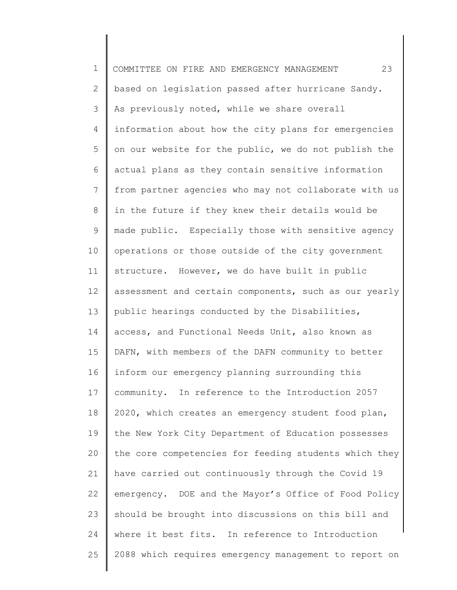1 2 3 4 5 6 7 8 9 10 11 12 13 14 15 16 17 18 19 20 21 22 23 24 25 COMMITTEE ON FIRE AND EMERGENCY MANAGEMENT 23 based on legislation passed after hurricane Sandy. As previously noted, while we share overall information about how the city plans for emergencies on our website for the public, we do not publish the actual plans as they contain sensitive information from partner agencies who may not collaborate with us in the future if they knew their details would be made public. Especially those with sensitive agency operations or those outside of the city government structure. However, we do have built in public assessment and certain components, such as our yearly public hearings conducted by the Disabilities, access, and Functional Needs Unit, also known as DAFN, with members of the DAFN community to better inform our emergency planning surrounding this community. In reference to the Introduction 2057 2020, which creates an emergency student food plan, the New York City Department of Education possesses the core competencies for feeding students which they have carried out continuously through the Covid 19 emergency. DOE and the Mayor's Office of Food Policy should be brought into discussions on this bill and where it best fits. In reference to Introduction 2088 which requires emergency management to report on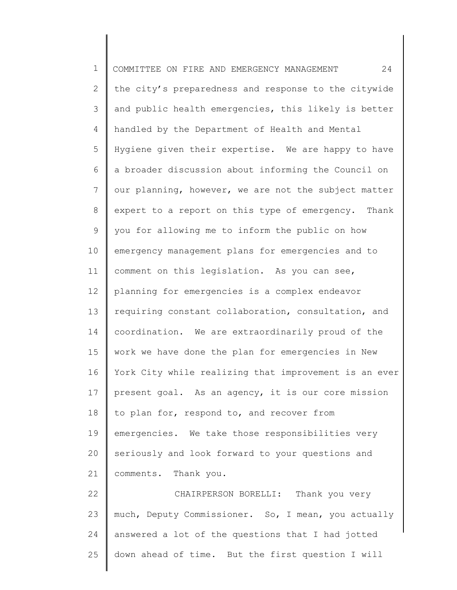1 2 3 4 5 6 7 8 9 10 11 12 13 14 15 16 17 18 19 20 21 22 23 24 25 COMMITTEE ON FIRE AND EMERGENCY MANAGEMENT 24 the city's preparedness and response to the citywide and public health emergencies, this likely is better handled by the Department of Health and Mental Hygiene given their expertise. We are happy to have a broader discussion about informing the Council on our planning, however, we are not the subject matter expert to a report on this type of emergency. Thank you for allowing me to inform the public on how emergency management plans for emergencies and to comment on this legislation. As you can see, planning for emergencies is a complex endeavor requiring constant collaboration, consultation, and coordination. We are extraordinarily proud of the work we have done the plan for emergencies in New York City while realizing that improvement is an ever present goal. As an agency, it is our core mission to plan for, respond to, and recover from emergencies. We take those responsibilities very seriously and look forward to your questions and comments. Thank you. CHAIRPERSON BORELLI: Thank you very much, Deputy Commissioner. So, I mean, you actually answered a lot of the questions that I had jotted down ahead of time. But the first question I will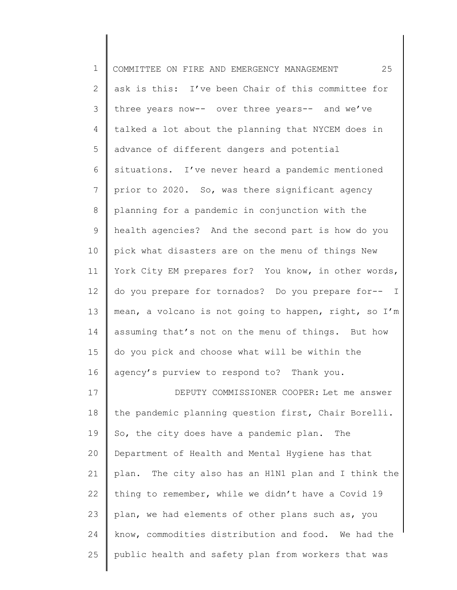| $\mathbf 1$     | 25<br>COMMITTEE ON FIRE AND EMERGENCY MANAGEMENT      |
|-----------------|-------------------------------------------------------|
| 2               | ask is this: I've been Chair of this committee for    |
| 3               | three years now-- over three years-- and we've        |
| 4               | talked a lot about the planning that NYCEM does in    |
| 5               | advance of different dangers and potential            |
| 6               | situations. I've never heard a pandemic mentioned     |
| $7\phantom{.0}$ | prior to 2020. So, was there significant agency       |
| 8               | planning for a pandemic in conjunction with the       |
| 9               | health agencies? And the second part is how do you    |
| 10              | pick what disasters are on the menu of things New     |
| 11              | York City EM prepares for? You know, in other words,  |
| 12              | do you prepare for tornados? Do you prepare for-- I   |
| 13              | mean, a volcano is not going to happen, right, so I'm |
| 14              | assuming that's not on the menu of things. But how    |
| 15              | do you pick and choose what will be within the        |
| 16              | agency's purview to respond to? Thank you.            |
| 17              | DEPUTY COMMISSIONER COOPER: Let me answer             |
| 18              | the pandemic planning question first, Chair Borelli.  |
| 19              | So, the city does have a pandemic plan. The           |
| 20              | Department of Health and Mental Hygiene has that      |
| 21              | plan. The city also has an H1N1 plan and I think the  |
| 22              | thing to remember, while we didn't have a Covid 19    |
| 23              | plan, we had elements of other plans such as, you     |
| 24              | know, commodities distribution and food. We had the   |
| 25              | public health and safety plan from workers that was   |
|                 |                                                       |

∥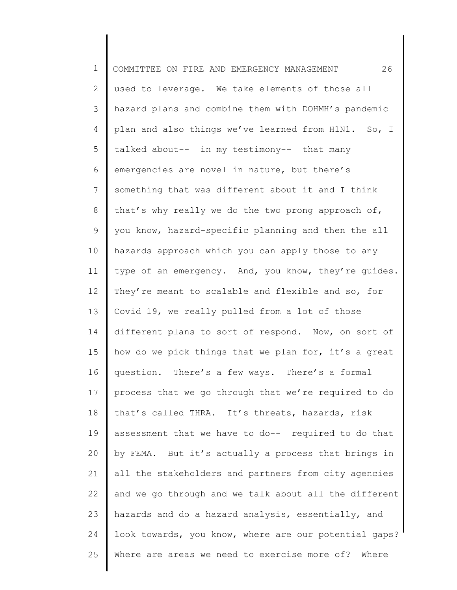| $\mathbf 1$     | 26<br>COMMITTEE ON FIRE AND EMERGENCY MANAGEMENT      |
|-----------------|-------------------------------------------------------|
| 2               | used to leverage. We take elements of those all       |
| 3               | hazard plans and combine them with DOHMH's pandemic   |
| 4               | plan and also things we've learned from H1N1. So, I   |
| 5               | talked about-- in my testimony-- that many            |
| 6               | emergencies are novel in nature, but there's          |
| $7\phantom{.0}$ | something that was different about it and I think     |
| 8               | that's why really we do the two prong approach of,    |
| $\mathsf 9$     | you know, hazard-specific planning and then the all   |
| 10              | hazards approach which you can apply those to any     |
| 11              | type of an emergency. And, you know, they're guides.  |
| 12              | They're meant to scalable and flexible and so, for    |
| 13              | Covid 19, we really pulled from a lot of those        |
| 14              | different plans to sort of respond. Now, on sort of   |
| 15              | how do we pick things that we plan for, it's a great  |
| 16              | question. There's a few ways. There's a formal        |
| 17              | process that we go through that we're required to do  |
| 18              | that's called THRA. It's threats, hazards, risk       |
| 19              | assessment that we have to do-- required to do that   |
| 20              | by FEMA. But it's actually a process that brings in   |
| 21              | all the stakeholders and partners from city agencies  |
| 22              | and we go through and we talk about all the different |
| 23              | hazards and do a hazard analysis, essentially, and    |
| 24              | look towards, you know, where are our potential gaps? |
| 25              | Where are areas we need to exercise more of? Where    |
|                 |                                                       |

║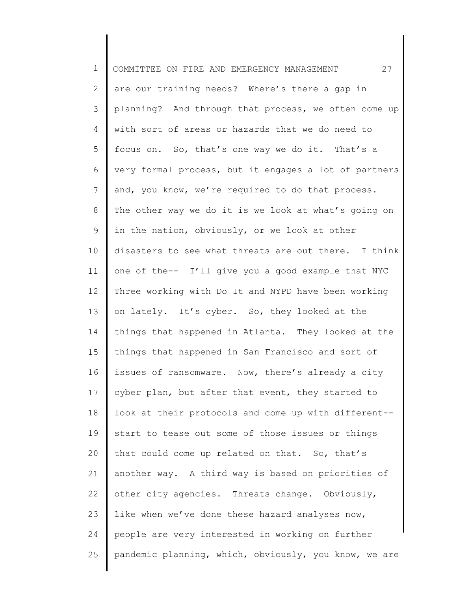1 2 3 4 5 6 7 8 9 10 11 12 13 14 15 16 17 18 19 20 21 22 23 24 25 COMMITTEE ON FIRE AND EMERGENCY MANAGEMENT 27 are our training needs? Where's there a gap in planning? And through that process, we often come up with sort of areas or hazards that we do need to focus on. So, that's one way we do it. That's a very formal process, but it engages a lot of partners and, you know, we're required to do that process. The other way we do it is we look at what's going on in the nation, obviously, or we look at other disasters to see what threats are out there. I think one of the-- I'll give you a good example that NYC Three working with Do It and NYPD have been working on lately. It's cyber. So, they looked at the things that happened in Atlanta. They looked at the things that happened in San Francisco and sort of issues of ransomware. Now, there's already a city cyber plan, but after that event, they started to look at their protocols and come up with different- start to tease out some of those issues or things that could come up related on that. So, that's another way. A third way is based on priorities of other city agencies. Threats change. Obviously, like when we've done these hazard analyses now, people are very interested in working on further pandemic planning, which, obviously, you know, we are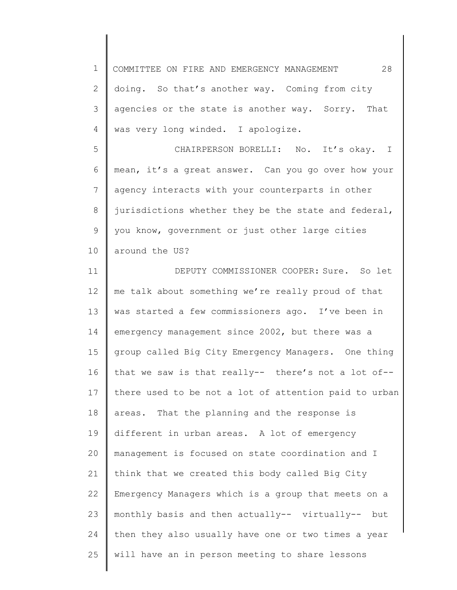1 2 3 4 5 6 7 8 9 10 11 12 13 14 15 16 17 18 19 20 21 22 23 24 25 COMMITTEE ON FIRE AND EMERGENCY MANAGEMENT 28 doing. So that's another way. Coming from city agencies or the state is another way. Sorry. That was very long winded. I apologize. CHAIRPERSON BORELLI: No. It's okay. I mean, it's a great answer. Can you go over how your agency interacts with your counterparts in other jurisdictions whether they be the state and federal, you know, government or just other large cities around the US? DEPUTY COMMISSIONER COOPER: Sure. So let me talk about something we're really proud of that was started a few commissioners ago. I've been in emergency management since 2002, but there was a group called Big City Emergency Managers. One thing that we saw is that really-- there's not a lot of- there used to be not a lot of attention paid to urban areas. That the planning and the response is different in urban areas. A lot of emergency management is focused on state coordination and I think that we created this body called Big City Emergency Managers which is a group that meets on a monthly basis and then actually-- virtually-- but then they also usually have one or two times a year will have an in person meeting to share lessons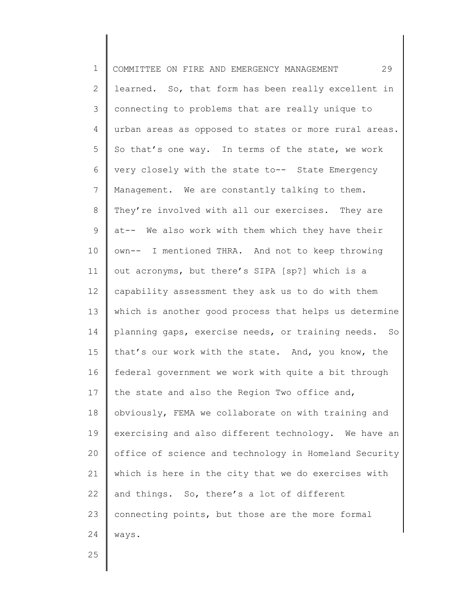1 2 3 4 5 6 7 8 9 10 11 12 13 14 15 16 17 18 19 20 21 22 23 24 COMMITTEE ON FIRE AND EMERGENCY MANAGEMENT 29 learned. So, that form has been really excellent in connecting to problems that are really unique to urban areas as opposed to states or more rural areas. So that's one way. In terms of the state, we work very closely with the state to-- State Emergency Management. We are constantly talking to them. They're involved with all our exercises. They are at-- We also work with them which they have their own-- I mentioned THRA. And not to keep throwing out acronyms, but there's SIPA [sp?] which is a capability assessment they ask us to do with them which is another good process that helps us determine planning gaps, exercise needs, or training needs. So that's our work with the state. And, you know, the federal government we work with quite a bit through the state and also the Region Two office and, obviously, FEMA we collaborate on with training and exercising and also different technology. We have an office of science and technology in Homeland Security which is here in the city that we do exercises with and things. So, there's a lot of different connecting points, but those are the more formal ways.

25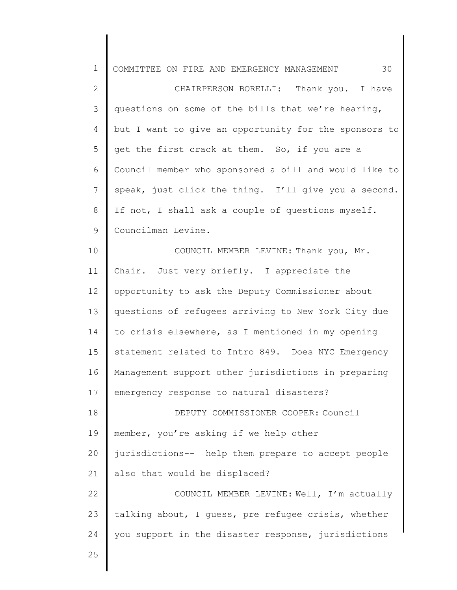| $\mathbf 1$    | 30<br>COMMITTEE ON FIRE AND EMERGENCY MANAGEMENT      |
|----------------|-------------------------------------------------------|
| $\mathbf{2}$   | CHAIRPERSON BORELLI: Thank you. I have                |
| $\mathcal{S}$  | questions on some of the bills that we're hearing,    |
| 4              | but I want to give an opportunity for the sponsors to |
| 5              | get the first crack at them. So, if you are a         |
| 6              | Council member who sponsored a bill and would like to |
| $\overline{7}$ | speak, just click the thing. I'll give you a second.  |
| $8\,$          | If not, I shall ask a couple of questions myself.     |
| 9              | Councilman Levine.                                    |
| 10             | COUNCIL MEMBER LEVINE: Thank you, Mr.                 |
| 11             | Chair. Just very briefly. I appreciate the            |
| 12             | opportunity to ask the Deputy Commissioner about      |
| 13             | questions of refugees arriving to New York City due   |
| 14             | to crisis elsewhere, as I mentioned in my opening     |
| 15             | statement related to Intro 849. Does NYC Emergency    |
| 16             | Management support other jurisdictions in preparing   |
| 17             | emergency response to natural disasters?              |
| 18             | DEPUTY COMMISSIONER COOPER: Council                   |
| 19             | member, you're asking if we help other                |
| 20             | jurisdictions-- help them prepare to accept people    |
| 21             | also that would be displaced?                         |
| 22             | COUNCIL MEMBER LEVINE: Well, I'm actually             |
| 23             | talking about, I guess, pre refugee crisis, whether   |
| 24             | you support in the disaster response, jurisdictions   |
| 25             |                                                       |
|                |                                                       |

∥ ∥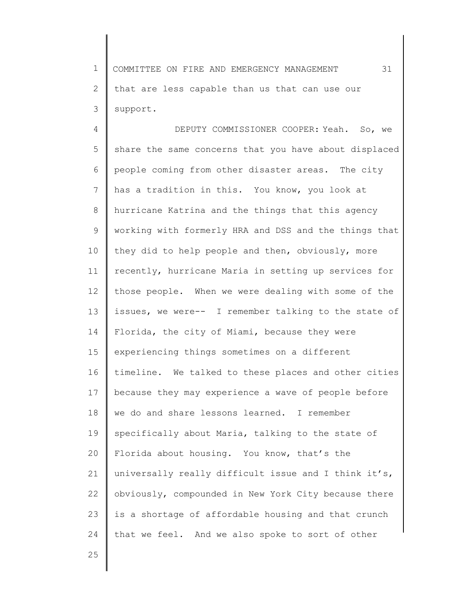1 2 3 COMMITTEE ON FIRE AND EMERGENCY MANAGEMENT 31 that are less capable than us that can use our support.

4 5 6 7 8 9 10 11 12 13 14 15 16 17 18 19 20 21 22 23 24 DEPUTY COMMISSIONER COOPER: Yeah. So, we share the same concerns that you have about displaced people coming from other disaster areas. The city has a tradition in this. You know, you look at hurricane Katrina and the things that this agency working with formerly HRA and DSS and the things that they did to help people and then, obviously, more recently, hurricane Maria in setting up services for those people. When we were dealing with some of the issues, we were-- I remember talking to the state of Florida, the city of Miami, because they were experiencing things sometimes on a different timeline. We talked to these places and other cities because they may experience a wave of people before we do and share lessons learned. I remember specifically about Maria, talking to the state of Florida about housing. You know, that's the universally really difficult issue and I think it's, obviously, compounded in New York City because there is a shortage of affordable housing and that crunch that we feel. And we also spoke to sort of other

25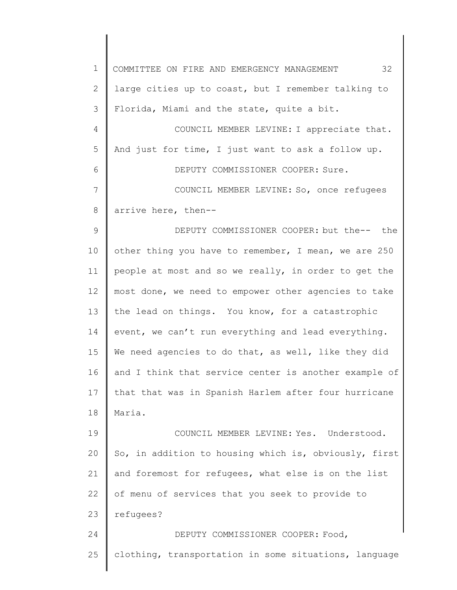1 2 3 4 5 6 7 8 9 10 11 12 13 14 15 16 17 18 19 20 21 22 23 24 25 COMMITTEE ON FIRE AND EMERGENCY MANAGEMENT 32 large cities up to coast, but I remember talking to Florida, Miami and the state, quite a bit. COUNCIL MEMBER LEVINE: I appreciate that. And just for time, I just want to ask a follow up. DEPUTY COMMISSIONER COOPER: Sure. COUNCIL MEMBER LEVINE: So, once refugees arrive here, then-- DEPUTY COMMISSIONER COOPER: but the-- the other thing you have to remember, I mean, we are 250 people at most and so we really, in order to get the most done, we need to empower other agencies to take the lead on things. You know, for a catastrophic event, we can't run everything and lead everything. We need agencies to do that, as well, like they did and I think that service center is another example of that that was in Spanish Harlem after four hurricane Maria. COUNCIL MEMBER LEVINE: Yes. Understood. So, in addition to housing which is, obviously, first and foremost for refugees, what else is on the list of menu of services that you seek to provide to refugees? DEPUTY COMMISSIONER COOPER: Food, clothing, transportation in some situations, language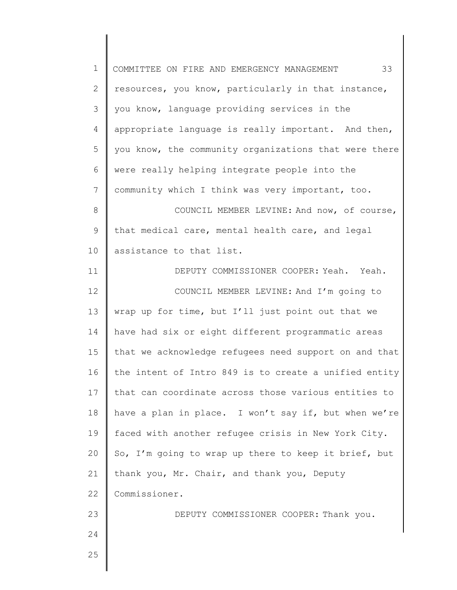1 2 3 4 5 6 7 8 9 10 11 12 13 14 15 16 17 18 19 20 21 22 23 24 25 COMMITTEE ON FIRE AND EMERGENCY MANAGEMENT 33 resources, you know, particularly in that instance, you know, language providing services in the appropriate language is really important. And then, you know, the community organizations that were there were really helping integrate people into the community which I think was very important, too. COUNCIL MEMBER LEVINE: And now, of course, that medical care, mental health care, and legal assistance to that list. DEPUTY COMMISSIONER COOPER: Yeah. Yeah. COUNCIL MEMBER LEVINE: And I'm going to wrap up for time, but I'll just point out that we have had six or eight different programmatic areas that we acknowledge refugees need support on and that the intent of Intro 849 is to create a unified entity that can coordinate across those various entities to have a plan in place. I won't say if, but when we're faced with another refugee crisis in New York City. So, I'm going to wrap up there to keep it brief, but thank you, Mr. Chair, and thank you, Deputy Commissioner. DEPUTY COMMISSIONER COOPER: Thank you.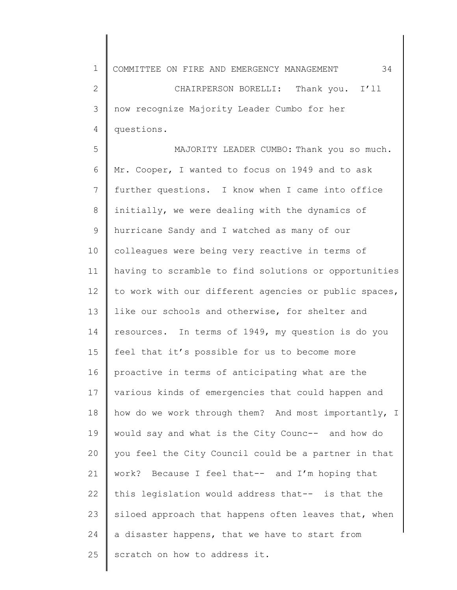1 2 3 4 5 6 7 8 9 10 11 12 13 14 15 16 17 18 19 20 21 22 23 24 COMMITTEE ON FIRE AND EMERGENCY MANAGEMENT 34 CHAIRPERSON BORELLI: Thank you. I'll now recognize Majority Leader Cumbo for her questions. MAJORITY LEADER CUMBO: Thank you so much. Mr. Cooper, I wanted to focus on 1949 and to ask further questions. I know when I came into office initially, we were dealing with the dynamics of hurricane Sandy and I watched as many of our colleagues were being very reactive in terms of having to scramble to find solutions or opportunities to work with our different agencies or public spaces, like our schools and otherwise, for shelter and resources. In terms of 1949, my question is do you feel that it's possible for us to become more proactive in terms of anticipating what are the various kinds of emergencies that could happen and how do we work through them? And most importantly, I would say and what is the City Counc-- and how do you feel the City Council could be a partner in that work? Because I feel that-- and I'm hoping that this legislation would address that-- is that the siloed approach that happens often leaves that, when a disaster happens, that we have to start from

25 scratch on how to address it.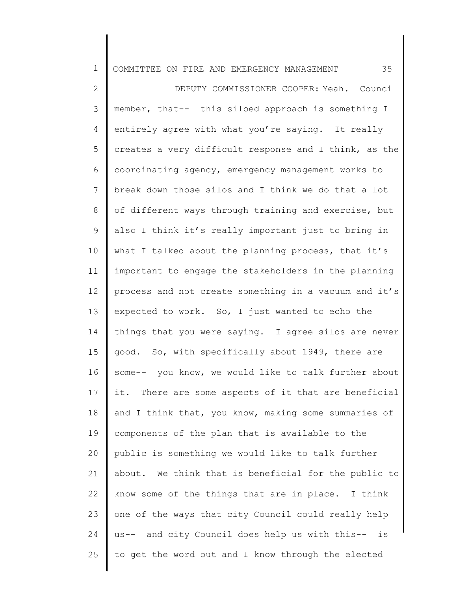| 35<br>COMMITTEE ON FIRE AND EMERGENCY MANAGEMENT      |
|-------------------------------------------------------|
| DEPUTY COMMISSIONER COOPER: Yeah. Council             |
| member, that-- this siloed approach is something I    |
| entirely agree with what you're saying. It really     |
| creates a very difficult response and I think, as the |
| coordinating agency, emergency management works to    |
| break down those silos and I think we do that a lot   |
| of different ways through training and exercise, but  |
| also I think it's really important just to bring in   |
| what I talked about the planning process, that it's   |
| important to engage the stakeholders in the planning  |
| process and not create something in a vacuum and it's |
| expected to work. So, I just wanted to echo the       |
| things that you were saying. I agree silos are never  |
| good. So, with specifically about 1949, there are     |
| some-- you know, we would like to talk further about  |
| it. There are some aspects of it that are beneficial  |
| and I think that, you know, making some summaries of  |
| components of the plan that is available to the       |
| public is something we would like to talk further     |
| about. We think that is beneficial for the public to  |
| know some of the things that are in place. I think    |
| one of the ways that city Council could really help   |
| us-- and city Council does help us with this-- is     |
| to get the word out and I know through the elected    |
|                                                       |

║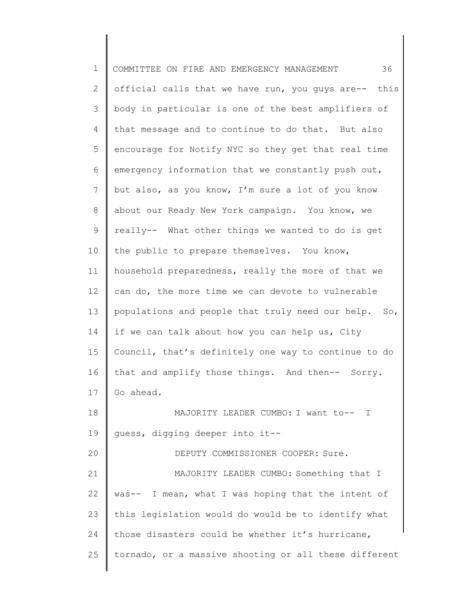1 2 3 4 5 6 7 8 9 10 11 12 13 14 15 16 17 18 19 20 21 22 23 24 25 COMMITTEE ON FIRE AND EMERGENCY MANAGEMENT 36 official calls that we have run, you guys are-- this body in particular is one of the best amplifiers of that message and to continue to do that. But also encourage for Notify NYC so they get that real time emergency information that we constantly push out, but also, as you know, I'm sure a lot of you know about our Ready New York campaign. You know, we really-- What other things we wanted to do is get the public to prepare themselves. You know, household preparedness, really the more of that we can do, the more time we can devote to vulnerable populations and people that truly need our help. So, if we can talk about how you can help us, City Council, that's definitely one way to continue to do that and amplify those things. And then-- Sorry. Go ahead. MAJORITY LEADER CUMBO: I want to-- I guess, digging deeper into it-- DEPUTY COMMISSIONER COOPER: Sure. MAJORITY LEADER CUMBO: Something that I was-- I mean, what I was hoping that the intent of this legislation would do would be to identify what those disasters could be whether it's hurricane, tornado, or a massive shooting or all these different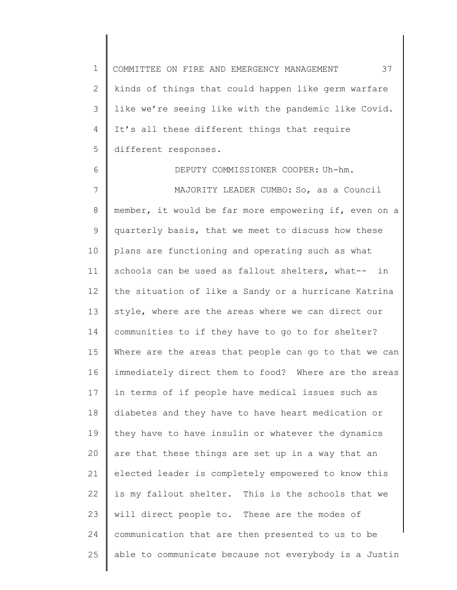1 2 3 4 5 COMMITTEE ON FIRE AND EMERGENCY MANAGEMENT 37 kinds of things that could happen like germ warfare like we're seeing like with the pandemic like Covid. It's all these different things that require different responses.

6 7 8 9 10 11 12 13 14 15 16 17 18 19 20 21 22 23 24 25 DEPUTY COMMISSIONER COOPER: Uh-hm. MAJORITY LEADER CUMBO: So, as a Council member, it would be far more empowering if, even on a quarterly basis, that we meet to discuss how these plans are functioning and operating such as what schools can be used as fallout shelters, what-- in the situation of like a Sandy or a hurricane Katrina style, where are the areas where we can direct our communities to if they have to go to for shelter? Where are the areas that people can go to that we can immediately direct them to food? Where are the areas in terms of if people have medical issues such as diabetes and they have to have heart medication or they have to have insulin or whatever the dynamics are that these things are set up in a way that an elected leader is completely empowered to know this is my fallout shelter. This is the schools that we will direct people to. These are the modes of communication that are then presented to us to be able to communicate because not everybody is a Justin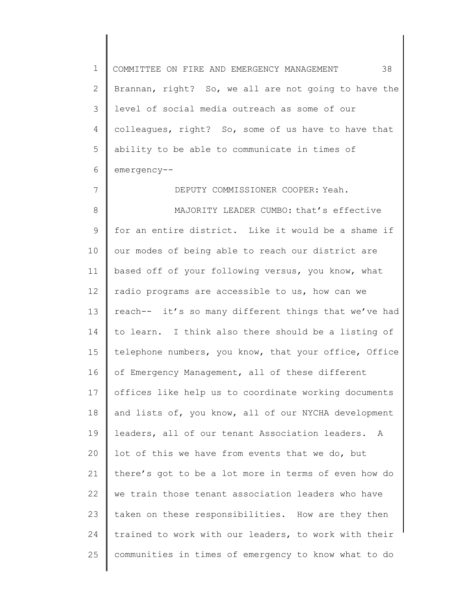1 2 3 4 5 6 COMMITTEE ON FIRE AND EMERGENCY MANAGEMENT 38 Brannan, right? So, we all are not going to have the level of social media outreach as some of our colleagues, right? So, some of us have to have that ability to be able to communicate in times of emergency--

DEPUTY COMMISSIONER COOPER: Yeah.

7

8 9 10 11 12 13 14 15 16 17 18 19 20 21 22 23 24 25 MAJORITY LEADER CUMBO: that's effective for an entire district. Like it would be a shame if our modes of being able to reach our district are based off of your following versus, you know, what radio programs are accessible to us, how can we reach-- it's so many different things that we've had to learn. I think also there should be a listing of telephone numbers, you know, that your office, Office of Emergency Management, all of these different offices like help us to coordinate working documents and lists of, you know, all of our NYCHA development leaders, all of our tenant Association leaders. A lot of this we have from events that we do, but there's got to be a lot more in terms of even how do we train those tenant association leaders who have taken on these responsibilities. How are they then trained to work with our leaders, to work with their communities in times of emergency to know what to do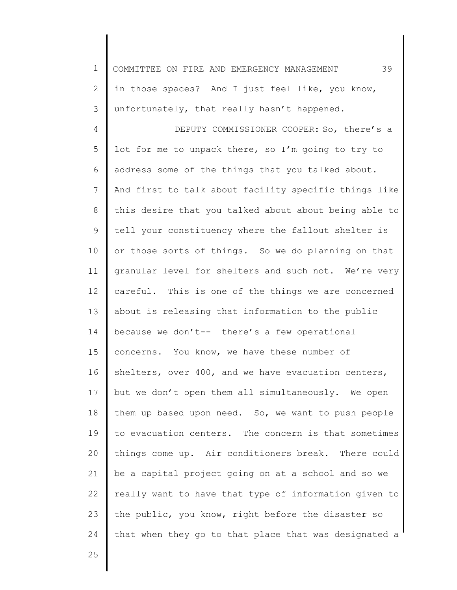| $\mathbf 1$     | 39<br>COMMITTEE ON FIRE AND EMERGENCY MANAGEMENT      |
|-----------------|-------------------------------------------------------|
| 2               | in those spaces? And I just feel like, you know,      |
| 3               | unfortunately, that really hasn't happened.           |
| 4               | DEPUTY COMMISSIONER COOPER: So, there's a             |
| 5               | lot for me to unpack there, so I'm going to try to    |
| 6               | address some of the things that you talked about.     |
| $7\phantom{.0}$ | And first to talk about facility specific things like |
| 8               | this desire that you talked about about being able to |
| $\mathsf 9$     | tell your constituency where the fallout shelter is   |
| 10              | or those sorts of things. So we do planning on that   |
| 11              | granular level for shelters and such not. We're very  |
| 12              | careful. This is one of the things we are concerned   |
| 13              | about is releasing that information to the public     |
| 14              | because we don't-- there's a few operational          |
| 15              | concerns. You know, we have these number of           |
| 16              | shelters, over 400, and we have evacuation centers,   |
| 17              | but we don't open them all simultaneously. We open    |
| 18              | them up based upon need. So, we want to push people   |
| 19              | to evacuation centers. The concern is that sometimes  |
| 20              | things come up. Air conditioners break. There could   |
| 21              | be a capital project going on at a school and so we   |
| 22              | really want to have that type of information given to |
| 23              | the public, you know, right before the disaster so    |
| 24              | that when they go to that place that was designated a |
| 25              |                                                       |

25

║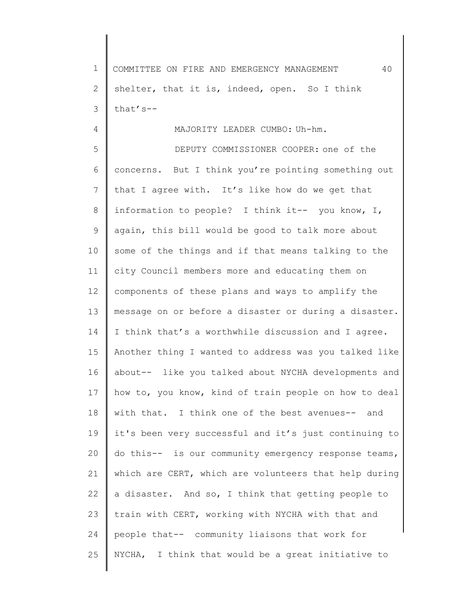1 2 3 COMMITTEE ON FIRE AND EMERGENCY MANAGEMENT 40 shelter, that it is, indeed, open. So I think that's--

4

## MAJORITY LEADER CUMBO: Uh-hm.

5 6 7 8 9 10 11 12 13 14 15 16 17 18 19 20 21 22 23 24 25 DEPUTY COMMISSIONER COOPER: one of the concerns. But I think you're pointing something out that I agree with. It's like how do we get that information to people? I think it-- you know, I, again, this bill would be good to talk more about some of the things and if that means talking to the city Council members more and educating them on components of these plans and ways to amplify the message on or before a disaster or during a disaster. I think that's a worthwhile discussion and I agree. Another thing I wanted to address was you talked like about-- like you talked about NYCHA developments and how to, you know, kind of train people on how to deal with that. I think one of the best avenues-- and it's been very successful and it's just continuing to do this-- is our community emergency response teams, which are CERT, which are volunteers that help during a disaster. And so, I think that getting people to train with CERT, working with NYCHA with that and people that-- community liaisons that work for NYCHA, I think that would be a great initiative to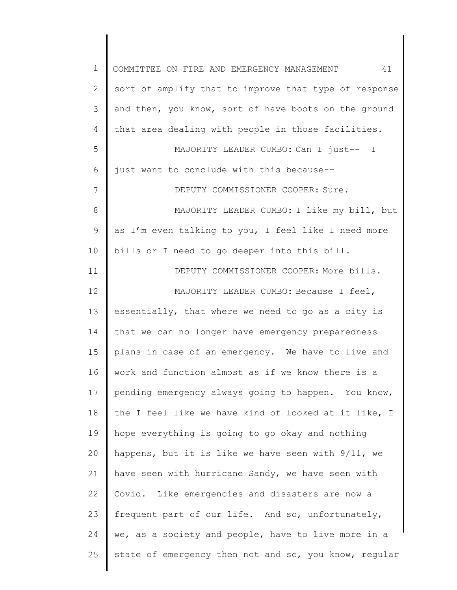| $\mathbf 1$  | 41<br>COMMITTEE ON FIRE AND EMERGENCY MANAGEMENT      |
|--------------|-------------------------------------------------------|
| $\mathbf{2}$ | sort of amplify that to improve that type of response |
| 3            | and then, you know, sort of have boots on the ground  |
| 4            | that area dealing with people in those facilities.    |
| 5            | MAJORITY LEADER CUMBO: Can I just-- I                 |
| 6            | just want to conclude with this because--             |
| 7            | DEPUTY COMMISSIONER COOPER: Sure.                     |
| 8            | MAJORITY LEADER CUMBO: I like my bill, but            |
| 9            | as I'm even talking to you, I feel like I need more   |
| 10           | bills or I need to go deeper into this bill.          |
| 11           | DEPUTY COMMISSIONER COOPER: More bills.               |
| 12           | MAJORITY LEADER CUMBO: Because I feel,                |
| 13           | essentially, that where we need to go as a city is    |
| 14           | that we can no longer have emergency preparedness     |
| 15           | plans in case of an emergency. We have to live and    |
| 16           | work and function almost as if we know there is a     |
| 17           | pending emergency always going to happen. You know,   |
| 18           | the I feel like we have kind of looked at it like, I  |
| 19           | hope everything is going to go okay and nothing       |
| 20           | happens, but it is like we have seen with 9/11, we    |
| 21           | have seen with hurricane Sandy, we have seen with     |
| 22           | Covid. Like emergencies and disasters are now a       |
| 23           | frequent part of our life. And so, unfortunately,     |
| 24           | we, as a society and people, have to live more in a   |
| 25           | state of emergency then not and so, you know, regular |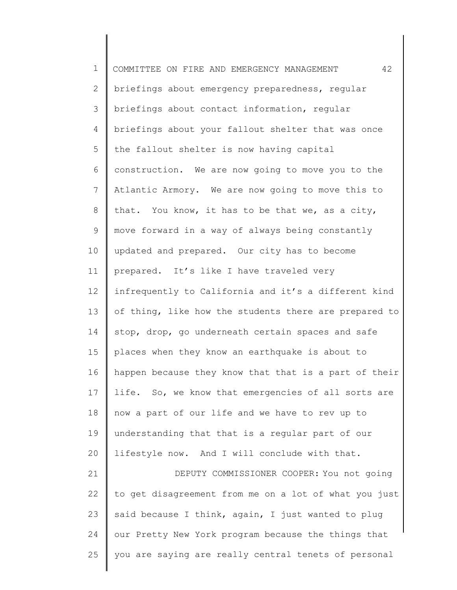1 2 3 4 5 6 7 8 9 10 11 12 13 14 15 16 17 18 19 20 21 22 23 24 25 COMMITTEE ON FIRE AND EMERGENCY MANAGEMENT 42 briefings about emergency preparedness, regular briefings about contact information, regular briefings about your fallout shelter that was once the fallout shelter is now having capital construction. We are now going to move you to the Atlantic Armory. We are now going to move this to that. You know, it has to be that we, as a city, move forward in a way of always being constantly updated and prepared. Our city has to become prepared. It's like I have traveled very infrequently to California and it's a different kind of thing, like how the students there are prepared to stop, drop, go underneath certain spaces and safe places when they know an earthquake is about to happen because they know that that is a part of their life. So, we know that emergencies of all sorts are now a part of our life and we have to rev up to understanding that that is a regular part of our lifestyle now. And I will conclude with that. DEPUTY COMMISSIONER COOPER: You not going to get disagreement from me on a lot of what you just said because I think, again, I just wanted to plug our Pretty New York program because the things that you are saying are really central tenets of personal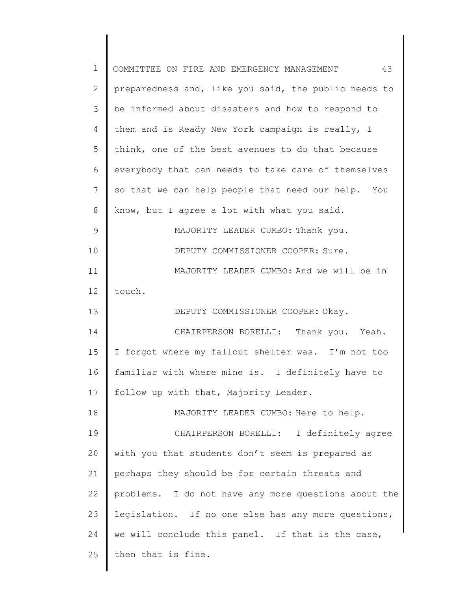| 1              | 43<br>COMMITTEE ON FIRE AND EMERGENCY MANAGEMENT       |
|----------------|--------------------------------------------------------|
| $\overline{2}$ | preparedness and, like you said, the public needs to   |
| 3              | be informed about disasters and how to respond to      |
| 4              | them and is Ready New York campaign is really, I       |
| 5              | think, one of the best avenues to do that because      |
| 6              | everybody that can needs to take care of themselves    |
| 7              | so that we can help people that need our help. You     |
| 8              | know, but I agree a lot with what you said.            |
| 9              | MAJORITY LEADER CUMBO: Thank you.                      |
| 10             | DEPUTY COMMISSIONER COOPER: Sure.                      |
| 11             | MAJORITY LEADER CUMBO: And we will be in               |
| 12             | touch.                                                 |
| 13             | DEPUTY COMMISSIONER COOPER: Okay.                      |
| 14             | CHAIRPERSON BORELLI: Thank you. Yeah.                  |
| 15             | forgot where my fallout shelter was. I'm not too<br>I. |
| 16             | familiar with where mine is. I definitely have to      |
| 17             | follow up with that, Majority Leader.                  |
| 18             | MAJORITY LEADER CUMBO: Here to help.                   |
| 19             | CHAIRPERSON BORELLI: I definitely agree                |
| 20             | with you that students don't seem is prepared as       |
| 21             | perhaps they should be for certain threats and         |
| 22             | problems. I do not have any more questions about the   |
| 23             | legislation. If no one else has any more questions,    |
| 24             | we will conclude this panel. If that is the case,      |
| 25             | then that is fine.                                     |
|                |                                                        |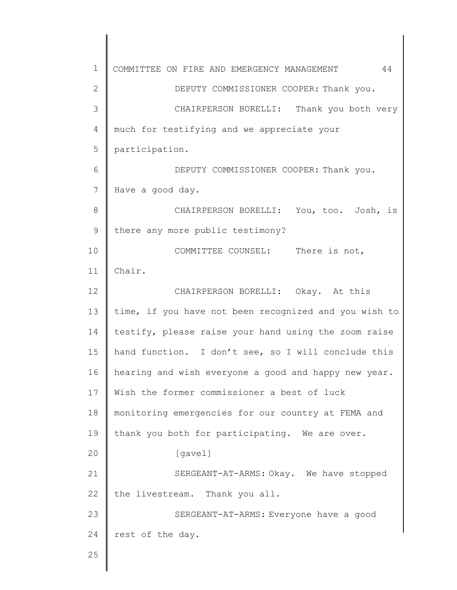1 2 3 4 5 6 7 8 9 10 11 12 13 14 15 16 17 18 19 20 21 22 23 24 25 COMMITTEE ON FIRE AND EMERGENCY MANAGEMENT 44 DEPUTY COMMISSIONER COOPER: Thank you. CHAIRPERSON BORELLI: Thank you both very much for testifying and we appreciate your participation. DEPUTY COMMISSIONER COOPER: Thank you. Have a good day. CHAIRPERSON BORELLI: You, too. Josh, is there any more public testimony? COMMITTEE COUNSEL: There is not, Chair. CHAIRPERSON BORELLI: Okay. At this time, if you have not been recognized and you wish to testify, please raise your hand using the zoom raise hand function. I don't see, so I will conclude this hearing and wish everyone a good and happy new year. Wish the former commissioner a best of luck monitoring emergencies for our country at FEMA and thank you both for participating. We are over. [gavel] SERGEANT-AT-ARMS: Okay. We have stopped the livestream. Thank you all. SERGEANT-AT-ARMS: Everyone have a good rest of the day.